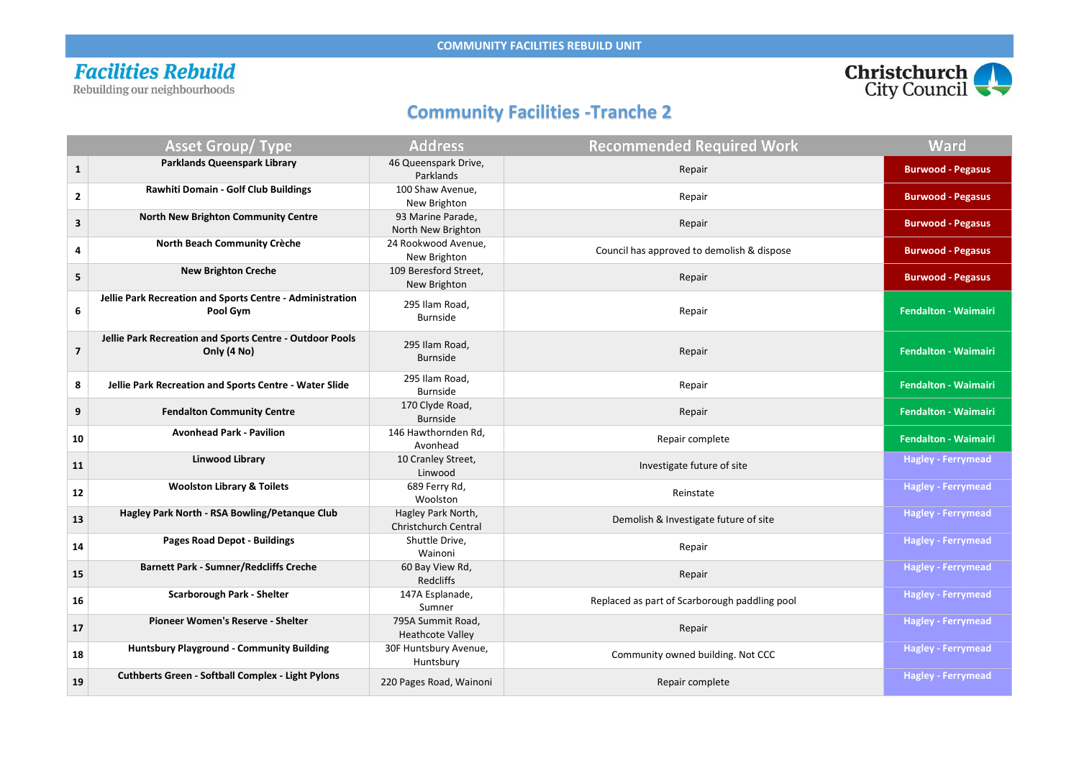### **Facilities Rebuild**

Rebuilding our neighbourhoods

#### **Community Facilities -Tranche 2**

|                         | <b>Asset Group/ Type</b>                                                | <b>Address</b>                                    | <b>Recommended Required Work</b>              | <b>Ward</b>                 |
|-------------------------|-------------------------------------------------------------------------|---------------------------------------------------|-----------------------------------------------|-----------------------------|
| $\mathbf{1}$            | <b>Parklands Queenspark Library</b>                                     | 46 Queenspark Drive,<br>Parklands                 | Repair                                        | <b>Burwood - Pegasus</b>    |
| $\mathbf{2}$            | <b>Rawhiti Domain - Golf Club Buildings</b>                             | 100 Shaw Avenue,<br>New Brighton                  | Repair                                        | <b>Burwood - Pegasus</b>    |
| $\mathbf{3}$            | <b>North New Brighton Community Centre</b>                              | 93 Marine Parade,<br>North New Brighton           | Repair                                        | <b>Burwood - Pegasus</b>    |
| 4                       | <b>North Beach Community Crèche</b>                                     | 24 Rookwood Avenue,<br>New Brighton               | Council has approved to demolish & dispose    | <b>Burwood - Pegasus</b>    |
| 5                       | <b>New Brighton Creche</b>                                              | 109 Beresford Street,<br>New Brighton             | Repair                                        | <b>Burwood - Pegasus</b>    |
| 6                       | Jellie Park Recreation and Sports Centre - Administration<br>Pool Gym   | 295 Ilam Road,<br><b>Burnside</b>                 | Repair                                        | <b>Fendalton - Waimairi</b> |
| $\overline{\mathbf{z}}$ | Jellie Park Recreation and Sports Centre - Outdoor Pools<br>Only (4 No) | 295 Ilam Road,<br><b>Burnside</b>                 | Repair                                        | <b>Fendalton - Waimairi</b> |
| 8                       | Jellie Park Recreation and Sports Centre - Water Slide                  | 295 Ilam Road,<br><b>Burnside</b>                 | Repair                                        | <b>Fendalton - Waimairi</b> |
| 9                       | <b>Fendalton Community Centre</b>                                       | 170 Clyde Road,<br><b>Burnside</b>                | Repair                                        | <b>Fendalton - Waimairi</b> |
| 10                      | <b>Avonhead Park - Pavilion</b>                                         | 146 Hawthornden Rd,<br>Avonhead                   | Repair complete                               | <b>Fendalton - Waimairi</b> |
| 11                      | <b>Linwood Library</b>                                                  | 10 Cranley Street,<br>Linwood                     | Investigate future of site                    | <b>Hagley - Ferrymead</b>   |
| 12                      | <b>Woolston Library &amp; Toilets</b>                                   | 689 Ferry Rd,<br>Woolston                         | Reinstate                                     | <b>Hagley - Ferrymead</b>   |
| 13                      | Hagley Park North - RSA Bowling/Petanque Club                           | Hagley Park North,<br><b>Christchurch Central</b> | Demolish & Investigate future of site         | <b>Hagley - Ferrymead</b>   |
| 14                      | <b>Pages Road Depot - Buildings</b>                                     | Shuttle Drive,<br>Wainoni                         | Repair                                        | <b>Hagley - Ferrymead</b>   |
| <b>15</b>               | <b>Barnett Park - Sumner/Redcliffs Creche</b>                           | 60 Bay View Rd,<br><b>Redcliffs</b>               | Repair                                        | <b>Hagley - Ferrymead</b>   |
| 16                      | <b>Scarborough Park - Shelter</b>                                       | 147A Esplanade,<br>Sumner                         | Replaced as part of Scarborough paddling pool | <b>Hagley - Ferrymead</b>   |
| 17                      | <b>Pioneer Women's Reserve - Shelter</b>                                | 795A Summit Road,<br><b>Heathcote Valley</b>      | Repair                                        | <b>Hagley - Ferrymead</b>   |
| 18                      | <b>Huntsbury Playground - Community Building</b>                        | 30F Huntsbury Avenue,<br>Huntsbury                | Community owned building. Not CCC             | <b>Hagley - Ferrymead</b>   |
| 19                      | <b>Cuthberts Green - Softball Complex - Light Pylons</b>                | 220 Pages Road, Wainoni                           | Repair complete                               | <b>Hagley - Ferrymead</b>   |



#### Ward

- 
- 
- 
- 
-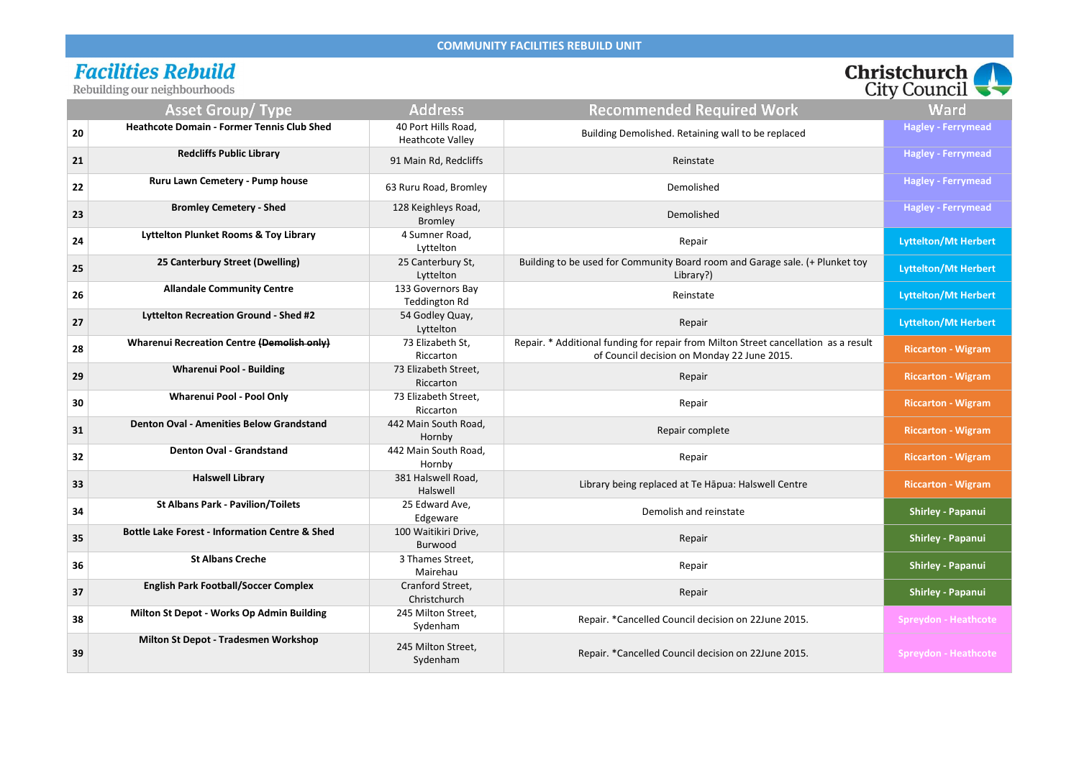# **Facilities Rebuild**<br>Rebuilding our neighbourhoods

|                                                                           | Christchurch<br><b>City Council</b> |
|---------------------------------------------------------------------------|-------------------------------------|
| ed Required Work                                                          | Ward                                |
| Retaining wall to be replaced                                             | <b>Hagley - Ferrymead</b>           |
| Reinstate                                                                 | <b>Hagley - Ferrymead</b>           |
| emolished                                                                 | <b>Hagley - Ferrymead</b>           |
| emolished                                                                 | <b>Hagley - Ferrymead</b>           |
| Repair                                                                    | <b>Lyttelton/Mt Herbert</b>         |
| Board room and Garage sale. (+ Plunket toy<br>Library?)                   | <b>Lyttelton/Mt Herbert</b>         |
| Reinstate                                                                 | <b>Lyttelton/Mt Herbert</b>         |
| Repair                                                                    | <b>Lyttelton/Mt Herbert</b>         |
| ir from Milton Street cancellation as a result<br>on Monday 22 June 2015. | <b>Riccarton - Wigram</b>           |
| Repair                                                                    | <b>Riccarton - Wigram</b>           |
| Repair                                                                    | <b>Riccarton - Wigram</b>           |
| air complete                                                              | <b>Riccarton - Wigram</b>           |
| Repair                                                                    | <b>Riccarton - Wigram</b>           |
| d at Te Hāpua: Halswell Centre                                            | <b>Riccarton - Wigram</b>           |
| sh and reinstate                                                          | <b>Shirley - Papanui</b>            |
| Repair                                                                    | <b>Shirley - Papanui</b>            |
| Repair                                                                    | <b>Shirley - Papanui</b>            |
| Repair                                                                    | <b>Shirley - Papanui</b>            |
| uncil decision on 22June 2015.                                            | <b>Spreydon - Heathcote</b>         |
| uncil decision on 22June 2015.                                            | <b>Spreydon - Heathcote</b>         |

|    | $\sim$                                                    |                                                |                                                                                                                                    | $\mathbf{u}$ $\mathbf{v}$ counts $\mathbf{v}$ |
|----|-----------------------------------------------------------|------------------------------------------------|------------------------------------------------------------------------------------------------------------------------------------|-----------------------------------------------|
|    | <b>Asset Group/ Type</b>                                  | <b>Address</b>                                 | <b>Recommended Required Work</b>                                                                                                   | Ward                                          |
| 20 | <b>Heathcote Domain - Former Tennis Club Shed</b>         | 40 Port Hills Road,<br><b>Heathcote Valley</b> | Building Demolished. Retaining wall to be replaced                                                                                 | <b>Hagley - Ferrymead</b>                     |
| 21 | <b>Redcliffs Public Library</b>                           | 91 Main Rd, Redcliffs                          | Reinstate                                                                                                                          | <b>Hagley - Ferrymead</b>                     |
| 22 | Ruru Lawn Cemetery - Pump house                           | 63 Ruru Road, Bromley                          | Demolished                                                                                                                         | <b>Hagley - Ferrymead</b>                     |
| 23 | <b>Bromley Cemetery - Shed</b>                            | 128 Keighleys Road,<br><b>Bromley</b>          | Demolished                                                                                                                         | <b>Hagley - Ferrymead</b>                     |
| 24 | <b>Lyttelton Plunket Rooms &amp; Toy Library</b>          | 4 Sumner Road,<br>Lyttelton                    | Repair                                                                                                                             | <b>Lyttelton/Mt Herbert</b>                   |
| 25 | 25 Canterbury Street (Dwelling)                           | 25 Canterbury St,<br>Lyttelton                 | Building to be used for Community Board room and Garage sale. (+ Plunket toy<br>Library?)                                          | <b>Lyttelton/Mt Herbert</b>                   |
| 26 | <b>Allandale Community Centre</b>                         | 133 Governors Bay<br><b>Teddington Rd</b>      | Reinstate                                                                                                                          | <b>Lyttelton/Mt Herbert</b>                   |
| 27 | Lyttelton Recreation Ground - Shed #2                     | 54 Godley Quay,<br>Lyttelton                   | Repair                                                                                                                             | <b>Lyttelton/Mt Herbert</b>                   |
| 28 | <b>Wharenui Recreation Centre (Demolish only)</b>         | 73 Elizabeth St,<br>Riccarton                  | Repair. * Additional funding for repair from Milton Street cancellation as a result<br>of Council decision on Monday 22 June 2015. | <b>Riccarton - Wigram</b>                     |
| 29 | <b>Wharenui Pool - Building</b>                           | 73 Elizabeth Street,<br>Riccarton              | Repair                                                                                                                             | <b>Riccarton - Wigram</b>                     |
| 30 | <b>Wharenui Pool - Pool Only</b>                          | 73 Elizabeth Street,<br>Riccarton              | Repair                                                                                                                             | <b>Riccarton - Wigram</b>                     |
| 31 | <b>Denton Oval - Amenities Below Grandstand</b>           | 442 Main South Road,<br>Hornby                 | Repair complete                                                                                                                    | <b>Riccarton - Wigram</b>                     |
| 32 | <b>Denton Oval - Grandstand</b>                           | 442 Main South Road,<br>Hornby                 | Repair                                                                                                                             | <b>Riccarton - Wigram</b>                     |
| 33 | <b>Halswell Library</b>                                   | 381 Halswell Road,<br>Halswell                 | Library being replaced at Te Hapua: Halswell Centre                                                                                | <b>Riccarton - Wigram</b>                     |
| 34 | <b>St Albans Park - Pavilion/Toilets</b>                  | 25 Edward Ave,<br>Edgeware                     | Demolish and reinstate                                                                                                             | <b>Shirley - Papanui</b>                      |
| 35 | <b>Bottle Lake Forest - Information Centre &amp; Shed</b> | 100 Waitikiri Drive,<br>Burwood                | Repair                                                                                                                             | <b>Shirley - Papanui</b>                      |
| 36 | <b>St Albans Creche</b>                                   | 3 Thames Street,<br>Mairehau                   | Repair                                                                                                                             | <b>Shirley - Papanui</b>                      |
| 37 | <b>English Park Football/Soccer Complex</b>               | Cranford Street,<br>Christchurch               | Repair                                                                                                                             | <b>Shirley - Papanui</b>                      |
| 38 | Milton St Depot - Works Op Admin Building                 | 245 Milton Street,<br>Sydenham                 | Repair. *Cancelled Council decision on 22June 2015.                                                                                | <b>Spreydon - Heathcote</b>                   |
| 39 | Milton St Depot - Tradesmen Workshop                      | 245 Milton Street,<br>Sydenham                 | Repair. *Cancelled Council decision on 22June 2015.                                                                                | <b>Spreydon - Heathcote</b>                   |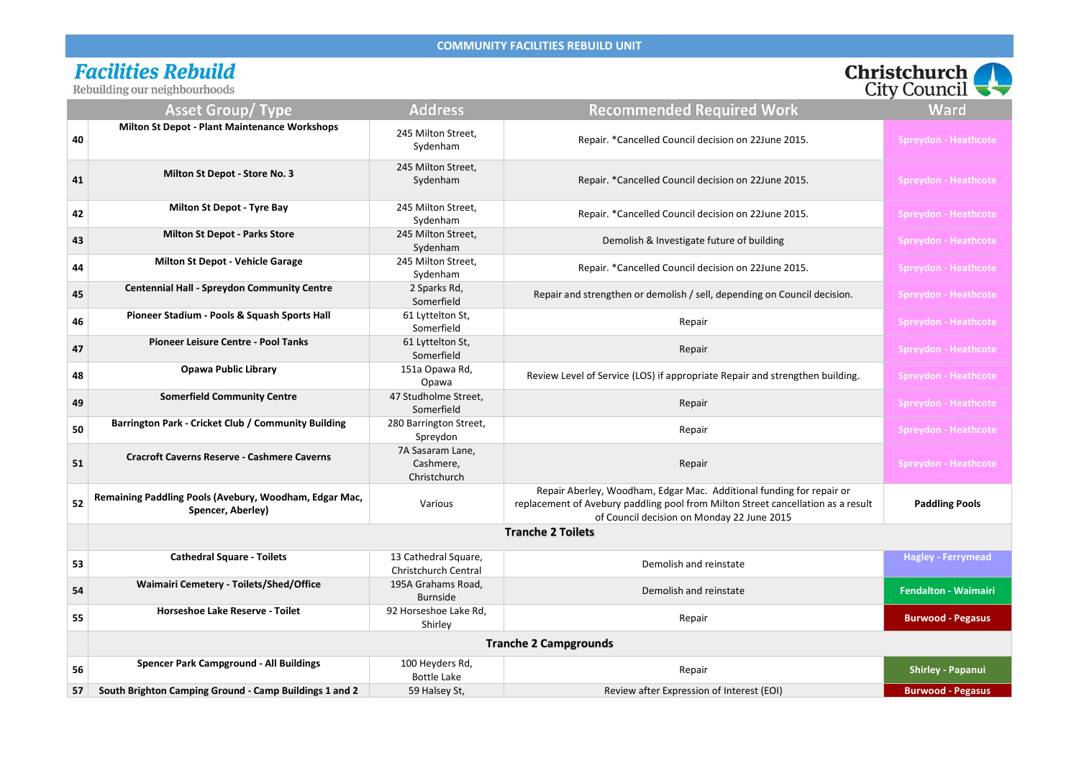# **Facilities Rebuild**<br>Rebuilding our neighbourhoods

|    | <u>ncounting</u> our neighbournoous                                         |                                                     |                                                                                                                                                                                                        | $\frac{1}{2}$               |
|----|-----------------------------------------------------------------------------|-----------------------------------------------------|--------------------------------------------------------------------------------------------------------------------------------------------------------------------------------------------------------|-----------------------------|
|    | <b>Asset Group/ Type</b>                                                    | <b>Address</b>                                      | <b>Recommended Required Work</b>                                                                                                                                                                       | <b>Ward</b>                 |
| 40 | <b>Milton St Depot - Plant Maintenance Workshops</b>                        | 245 Milton Street,<br>Sydenham                      | Repair. *Cancelled Council decision on 22June 2015.                                                                                                                                                    | <b>Spreydon - Heathcote</b> |
| 41 | <b>Milton St Depot - Store No. 3</b>                                        | 245 Milton Street,<br>Sydenham                      | Repair. *Cancelled Council decision on 22June 2015.                                                                                                                                                    | <b>Spreydon - Heathcote</b> |
| 42 | <b>Milton St Depot - Tyre Bay</b>                                           | 245 Milton Street,<br>Sydenham                      | Repair. * Cancelled Council decision on 22June 2015.                                                                                                                                                   | <b>Spreydon - Heathcote</b> |
| 43 | <b>Milton St Depot - Parks Store</b>                                        | 245 Milton Street,<br>Sydenham                      | Demolish & Investigate future of building                                                                                                                                                              | <b>Spreydon - Heathcote</b> |
| 44 | <b>Milton St Depot - Vehicle Garage</b>                                     | 245 Milton Street,<br>Sydenham                      | Repair. *Cancelled Council decision on 22June 2015.                                                                                                                                                    | <b>Spreydon - Heathcote</b> |
| 45 | <b>Centennial Hall - Spreydon Community Centre</b>                          | 2 Sparks Rd,<br>Somerfield                          | Repair and strengthen or demolish / sell, depending on Council decision.                                                                                                                               | <b>Spreydon - Heathcote</b> |
| 46 | Pioneer Stadium - Pools & Squash Sports Hall                                | 61 Lyttelton St,<br>Somerfield                      | Repair                                                                                                                                                                                                 | <b>Spreydon - Heathcote</b> |
| 47 | <b>Pioneer Leisure Centre - Pool Tanks</b>                                  | 61 Lyttelton St,<br>Somerfield                      | Repair                                                                                                                                                                                                 | <b>Spreydon - Heathcote</b> |
| 48 | <b>Opawa Public Library</b>                                                 | 151a Opawa Rd,<br>Opawa                             | Review Level of Service (LOS) if appropriate Repair and strengthen building.                                                                                                                           | <b>Spreydon - Heathcote</b> |
| 49 | <b>Somerfield Community Centre</b>                                          | 47 Studholme Street,<br>Somerfield                  | Repair                                                                                                                                                                                                 | <b>Spreydon - Heathcote</b> |
| 50 | <b>Barrington Park - Cricket Club / Community Building</b>                  | 280 Barrington Street,<br>Spreydon                  | Repair                                                                                                                                                                                                 | <b>Spreydon - Heathcote</b> |
| 51 | <b>Cracroft Caverns Reserve - Cashmere Caverns</b>                          | 7A Sasaram Lane,<br>Cashmere,<br>Christchurch       | Repair                                                                                                                                                                                                 | <b>Spreydon - Heathcote</b> |
| 52 | Remaining Paddling Pools (Avebury, Woodham, Edgar Mac,<br>Spencer, Aberley) | Various                                             | Repair Aberley, Woodham, Edgar Mac. Additional funding for repair or<br>replacement of Avebury paddling pool from Milton Street cancellation as a result<br>of Council decision on Monday 22 June 2015 | <b>Paddling Pools</b>       |
|    |                                                                             |                                                     | <b>Tranche 2 Toilets</b>                                                                                                                                                                               |                             |
| 53 | <b>Cathedral Square - Toilets</b>                                           | 13 Cathedral Square,<br><b>Christchurch Central</b> | Demolish and reinstate                                                                                                                                                                                 | <b>Hagley - Ferrymead</b>   |
| 54 | <b>Waimairi Cemetery - Toilets/Shed/Office</b>                              | 195A Grahams Road,<br><b>Burnside</b>               | Demolish and reinstate                                                                                                                                                                                 | <b>Fendalton - Waimairi</b> |
| 55 | <b>Horseshoe Lake Reserve - Toilet</b>                                      | 92 Horseshoe Lake Rd,<br>Shirley                    | Repair                                                                                                                                                                                                 | <b>Burwood - Pegasus</b>    |
|    |                                                                             |                                                     | <b>Tranche 2 Campgrounds</b>                                                                                                                                                                           |                             |
| 56 | <b>Spencer Park Campground - All Buildings</b>                              | 100 Heyders Rd,<br><b>Bottle Lake</b>               | Repair                                                                                                                                                                                                 | <b>Shirley - Papanui</b>    |
| 57 | South Brighton Camping Ground - Camp Buildings 1 and 2                      | 59 Halsey St,                                       | Review after Expression of Interest (EOI)                                                                                                                                                              | <b>Burwood - Pegasus</b>    |

| <b>Christchurch</b>                |  |
|------------------------------------|--|
| City Council $\blacktriangleright$ |  |